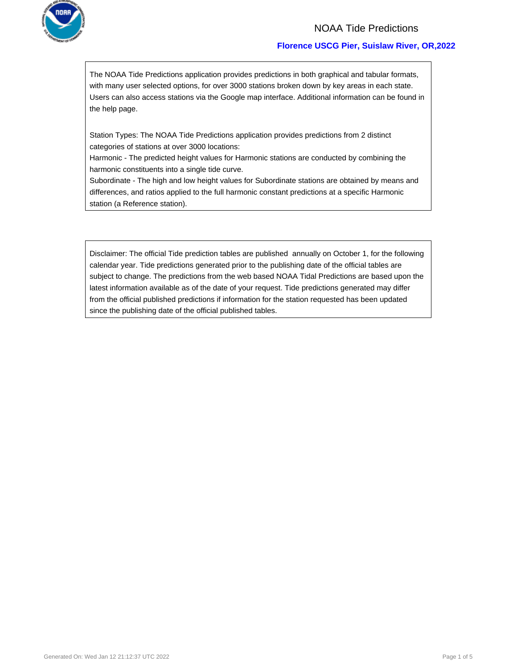

### NOAA Tide Predictions

### **Florence USCG Pier, Suislaw River, OR,2022**

The NOAA Tide Predictions application provides predictions in both graphical and tabular formats, with many user selected options, for over 3000 stations broken down by key areas in each state. Users can also access stations via the Google map interface. Additional information can be found in the help page.

Station Types: The NOAA Tide Predictions application provides predictions from 2 distinct categories of stations at over 3000 locations:

Harmonic - The predicted height values for Harmonic stations are conducted by combining the harmonic constituents into a single tide curve.

Subordinate - The high and low height values for Subordinate stations are obtained by means and differences, and ratios applied to the full harmonic constant predictions at a specific Harmonic station (a Reference station).

Disclaimer: The official Tide prediction tables are published annually on October 1, for the following calendar year. Tide predictions generated prior to the publishing date of the official tables are subject to change. The predictions from the web based NOAA Tidal Predictions are based upon the latest information available as of the date of your request. Tide predictions generated may differ from the official published predictions if information for the station requested has been updated since the publishing date of the official published tables.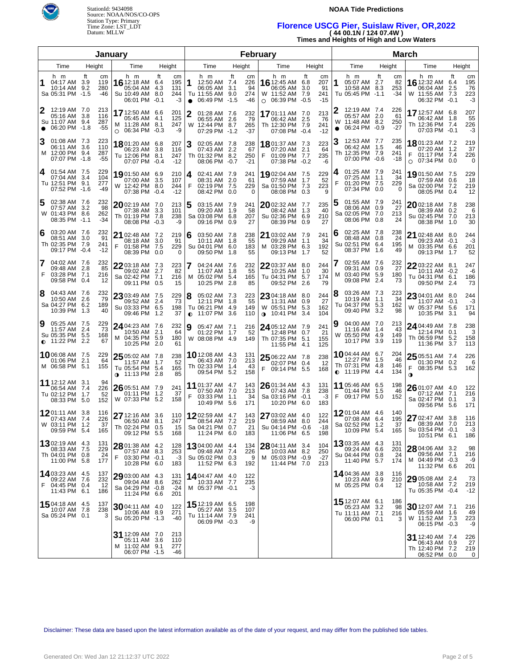

### **NOAA Tide Predictions**

# **Florence USCG Pier, Suislaw River, OR,2022 ( 44 00.1N / 124 07.4W )**

| (4400.1N/12407.4W)                       |
|------------------------------------------|
| Times and Heights of High and Low Waters |

|        |                                                                            |                               | January |                                                                           | <b>February</b>    |                               |                |                                                                           |     |                               |   |                                                                                  |                  | <b>March</b>                    |     |                                                                       |      |                            |        |                                                                          |                         |                              |
|--------|----------------------------------------------------------------------------|-------------------------------|---------|---------------------------------------------------------------------------|--------------------|-------------------------------|----------------|---------------------------------------------------------------------------|-----|-------------------------------|---|----------------------------------------------------------------------------------|------------------|---------------------------------|-----|-----------------------------------------------------------------------|------|----------------------------|--------|--------------------------------------------------------------------------|-------------------------|------------------------------|
|        | Time                                                                       | Height                        |         | Time                                                                      | Height             |                               |                | Time                                                                      |     | Height                        |   | Time                                                                             |                  | Height                          |     | Time                                                                  |      | Height                     |        | Time                                                                     |                         | Height                       |
| 1      | h m<br>04:17 AM 3.9<br>10:14 AM 9.2<br>Sa 05:31 PM -1.5                    | Ħ<br>119<br>280<br>-46        | cm      | h m<br><b>16</b> 12:18 AM 6.4<br>05:04 AM<br>Su 10:49 AM<br>06:01 PM -0.1 | ft<br>- 4.3<br>8.0 | cm<br>195<br>131<br>244<br>-3 | 1<br>$\bullet$ | h m<br>12:50 AM 7.4<br>06:05 AM 3.1<br>Tu 11:55 AM 9.0<br>06:49 PM -1.5   | Ħ   | cm<br>226<br>94<br>274<br>-46 |   | h m<br><b>16</b> 12:45 AM 6.8<br>06:05 AM<br>W 11:52 AM<br>$\circ$ 06:39 PM -0.5 | ft<br>3.0<br>7.9 | cm<br>207<br>91<br>241<br>$-15$ | 1   | h m<br>05:07 AM 2.7<br>10:58 AM 8.3<br>Tu 05:45 PM -1.1               | ft   | сm<br>82<br>253<br>$-34$   |        | h m<br><b>16</b> 12:32 AM<br>06:04 AM<br>W 11:55 AM<br>06:32 PM -0.1     | ft<br>6.4<br>2.5<br>7.3 | cm<br>195<br>76<br>223<br>-3 |
|        | 12:19 AM 7.0<br>05:16 AM 3.8<br>Su 11:07 AM 9.4<br>$\bullet$ 06:20 PM -1.8 | 213<br>116<br>287<br>-55      |         | 17 12:50 AM 6.6<br>05:45 AM 4.1<br>M 11:28 AM 8.1<br>○ 06:34 PM -0.3      |                    | 201<br>125<br>247<br>-9       | 2              | 01:28 AM 7.6<br>06:55 AM 2.6<br>W 12:44 PM 8.7<br>07:29 PM -1.2           |     | 232<br>79<br>265<br>$-37$     |   | 1701:11 AM 7.0<br>06:42 AM 2.5<br>Th 12:30 PM 7.9<br>07:08 PM -0.4               |                  | 213<br>-76<br>241<br>$-12$      | W   | 12:19 AM 7.4<br>05:57 AM 2.0<br>11:48 AM 8.2<br>06:24 PM -0.9         |      | 226<br>61<br>250<br>-27    |        | 17 12:57 AM 6.8<br>06:42 AM 1.8<br>Th 12:36 PM 7.4<br>07:03 PM -0.1      |                         | 207<br>55<br>226<br>-3       |
| 3      | 01:08 AM 7.3<br>06:11 AM 3.6<br>M 12:00 PM 9.4<br>07:07 PM -1.8            | 223<br>110<br>287<br>-55      |         | 1801:20 AM 6.8<br>06:23 AM 3.8<br>Tu 12:06 PM 8.1<br>07:07 PM -0.4        |                    | 207<br>116<br>247<br>$-12$    | 3              | 02:05 AM 7.8<br>07:43 AM 2.2<br>Th 01:32 PM 8.2<br>08:06 PM -0.7          |     | 238<br>67<br>250<br>$-21$     | F | 18 01:37 AM 7.3<br>07:20 AM 2.1<br>01:09 PM 7.7<br>07:38 PM -0.2                 |                  | 223<br>64<br>235<br>-6          |     | 12:53 AM 7.7<br>06:42 AM 1.5<br>Th 12:35 PM 7.9<br>07:00 PM -0.6      |      | 235<br>-46<br>241<br>$-18$ | F      | <b>18</b> 01:23 AM 7.2<br>07:20 AM 1.2<br>01:17 PM 7.4<br>○ 07:34 PM 0.0 |                         | 219<br>37<br>226<br>0        |
| 4      | 01:54 AM 7.5<br>07:04 AM 3.4<br>Tu 12:51 PM 9.1<br>07:52 PM -1.6           | 229<br>104<br>277<br>-49      |         | 1901:50 AM 6.9<br>07:00 AM 3.5<br>W 12:42 PM 8.0<br>07:38 PM -0.4         |                    | 210<br>107<br>244<br>$-12$    | 4<br>F         | 02:41 AM 7.9<br>08:31 AM 2.0<br>02:19 PM 7.5<br>08:42 PM 0.0              |     | 241<br>61<br>229<br>0         |   | 19 02:04 AM 7.5<br>07:59 AM<br>Sa 01:50 PM 7.3<br>08:08 PM 0.3                   | 1.7              | 229<br>52<br>223<br>9           | F   | 01:25 AM 7.9<br>07:25 AM 1.1<br>01:20 PM 7.5<br>07:34 PM 0.0          |      | 241<br>34<br>229<br>0      |        | 19 01:50 AM 7.5<br>07:59 AM 0.6<br>Sa 02:00 PM 7.2<br>08:05 PM 0.4       |                         | 229<br>18<br>219<br>12       |
| 5      | 02:38 AM 7.6<br>07:57 AM 3.2<br>W 01:43 PM 8.6<br>08:35 PM -1.1            | 232<br>98<br>262<br>-34       |         | 2002:19 AM 7.0<br>07:38 AM 3.3<br>Th 01:19 PM 7.8<br>08:08 PM -0.3        |                    | 213<br>101<br>238<br>-9       | 5              | 03:15 AM 7.9<br>09:20 AM 1.9<br>Sa 03:08 PM 6.8<br>09:16 PM 0.9           |     | 241<br>58<br>207<br>27        |   | 2002:32 AM 7.7<br>08:42 AM<br>Su 02:36 PM 6.9<br>08:39 PM 0.9                    | 1.3              | 235<br>40<br>210<br>27          |     | 01:55 AM 7.9<br>08:06 AM 0.9<br>Sa 02:05 PM 7.0<br>08:06 PM 0.8       |      | 241<br>27<br>213<br>24     |        | 2002:18 AM 7.8<br>08:39 AM 0.2<br>Su 02:45 PM 7.0<br>08:38 PM 1.0        |                         | 238<br>6<br>213<br>30        |
| 6      | 03:20 AM 7.6<br>08:51 AM 3.0<br>Th 02:35 PM 7.9<br>09:17 PM -0.4           | 232<br>91<br>241<br>$-12$     | F       | 21 02:48 AM 7.2<br>08:18 AM 3.0<br>01:58 PM 7.5<br>08:39 PM 0.0           |                    | 219<br>91<br>229<br>$\Omega$  | 6              | 03:50 AM 7.8<br>10:11 AM 1.8<br>Su 04:01 PM 6.0<br>09:50 PM               | 1.8 | 238<br>55<br>183<br>55        |   | 21 03:02 AM 7.9<br>09:29 AM 1.1<br>M 03:28 PM 6.3<br>09:13 PM 1.7                |                  | 241<br>34<br>192<br>52          | l 6 | 02:25 AM 7.8<br>08:48 AM 0.8<br>Su 02:51 PM 6.4<br>08:37 PM 1.6       |      | 238<br>24<br>195<br>49     |        | 21 02:48 AM 8.0<br>09:23 AM -0.1<br>M 03:35 PM 6.6<br>09:13 PM 1.7       |                         | 244<br>-3<br>201<br>52       |
| 7<br>F | 04:02 AM 7.6<br>09:48 AM 2.8<br>03:28 PM 7.1<br>09:58 PM 0.4               | 232<br>85<br>216<br>12        |         | 2203:18 AM 7.3<br>09:02 AM<br>Sa 02:42 PM 7.1<br>09:11 PM 0.5             | 2.7                | 223<br>82<br>216<br>15        |                | 04:24 AM 7.6<br>11:07 AM 1.8<br>M 05:02 PM 5.4<br>10:25 PM 2.8            |     | 232<br>55<br>165<br>85        |   | 2203:37 AM 8.0<br>10:25 AM<br>Tu 04:31 PM 5.7<br>09:52 PM 2.6                    | 1.0              | 244<br>30<br>174<br>79          | м   | 02:55 AM 7.6<br>09:31 AM 0.9<br>03:40 PM 5.9<br>09:08 PM              | -2.4 | 232<br>27<br>180<br>73     |        | 22 03:22 AM 8.1<br>10:11 AM -0.2<br>Tu 04:31 PM 6.1<br>09:50 PM 2.4      |                         | 247<br>-6<br>186<br>73       |
| 8      | 04:43 AM 7.6<br>10:50 AM 2.6<br>Sa 04:27 PM 6.2<br>10:39 PM 1.3            | 232<br>79<br>189              | 40      | 23 03:49 AM 7.5<br>09:52 AM 2.4<br>Su 03:33 PM 6.5<br>09:46 PM 1.2        |                    | 229<br>73<br>198<br>37        | 8              | 05:02 AM 7.3<br>12:11 PM 1.8<br>Tu 06:21 PM 4.9<br><b>0</b> 11:07 PM 3.6  |     | 223<br>55<br>149<br>110       |   | 23 04:18 AM 8.0<br>11:31 AM 0.9<br>W 05:51 PM 5.3<br><b>0</b> 10:41 PM 3.4       |                  | 244<br>27<br>162<br>104         | 8   | 03:26 AM 7.3<br>10:19 AM 1.1<br>Tu 04:37 PM 5.3<br>09:40 PM           | 3.2  | 223<br>34<br>162<br>98     |        | 23 04:01 AM 8.0<br>11:07 AM -0.1<br>W 05:37 PM 5.6<br>10:35 PM 3.1       |                         | 244<br>-3<br>171<br>94       |
| 9      | 05:25 AM 7.5<br>11:57 AM 2.4<br>Su 05:35 PM 5.5<br>$\bullet$ 11:22 PM      | 229<br>73<br>168<br>2.2<br>67 |         | 24 04:23 AM 7.6<br>10:50 AM 2.1<br>M 04:35 PM 5.9<br>10:25 PM 2.0         |                    | 232<br>64<br>180<br>-61       | 9              | 05:47 AM 7.1<br>01:22 PM 1.7<br>W 08:08 PM 4.9                            |     | 216<br>52<br>149              |   | 24 05:12 AM 7.9<br>12:48 PM 0.7<br>Th 07:35 PM 5.1<br>11:55 PM 4.1               |                  | 241<br>21<br>155<br>125         |     | 04:00 AM 7.0<br>11:16 AM 1.4<br>W 05:50 PM 4.9<br>10:17 PM            | 3.9  | 213<br>43<br>149<br>119    |        | 24 04:49 AM 7.8<br>12:14 PM 0.1<br>Th 06:59 PM 5.2<br>11:36 PM 3.7       |                         | 238<br>3<br>158<br>113       |
|        | 1006:08 AM 7.5<br>01:06 PM 2.1<br>M 06:58 PM 5.1                           | 229<br>64<br>155              |         | $2505:02$ AM 7.8<br>11:57 AM<br>Tu 05:54 PM 5.4<br>∩ 11:13 PM 2.8         | - 1.7              | 238<br>52<br>165<br>85        |                | <b>10</b> 12:08 AM 4.3<br>06:43 AM 7.0<br>Th 02:33 PM 1.4<br>09:54 PM 5.2 |     | 131<br>213<br>43<br>158       |   | 25 06:22 AM 7.8<br>02:07 PM 0.4<br>F 09:14 PM 5.5                                |                  | 238<br>12<br>168                |     | 1004:44 AM 6.7<br>12:27 PM 1.5<br>Th 07:31 PM 4.8<br>$Q$ 11:19 PM 4.4 |      | 204<br>46<br>146<br>134    | F<br>0 | 25 05:51 AM 7.4<br>01:30 PM 0.2<br>08:35 PM 5.3                          |                         | 226<br>6<br>162              |
|        | <b>11</b> 12:12 AM 3.1<br>06:54 AM 7.4<br>Tu 02:12 PM 1.7<br>08:33 PM 5.0  | 94<br>226<br>52<br>152        |         | 26 05:51 AM 7.9<br>01:11 PM 1.2<br>W 07:33 PM 5.2                         |                    | 241<br>37<br>158              | F              | <b>11</b> 01:37 AM 4.7<br>07:50 AM 7.0<br>03:33 PM 1.1<br>10:49 PM 5.6    |     | 143<br>213<br>34<br>171       |   | $2601:34$ AM 4.3<br>07:43 AM 7.8<br>Sa 03:16 PM -0.1<br>10:20 PM                 | 6.0              | 131<br>238<br>-3<br>183         | F   | 11 05:46 AM 6.5<br>01:44 PM 1.5<br>09:17 PM 5.0                       |      | 198<br>46<br>152           |        | $2601:07$ AM 4.0<br>07:12 AM 7.1<br>Sa 02:47 PM<br>09:56 PM 5.6          | 0.1                     | 122<br>216<br>3<br>171       |
|        | 1201:11 AM 3.8<br>07:43 AM 7.4<br>W 03:11 PM 1.2<br>09:59 PM 5.4           | 116<br>226<br>165             | 37      | 27 12:16 AM 3.6<br>06:50 AM 8.1<br>Th 02:24 PM 0.5<br>09:12 PM 5.5        |                    | 110<br>247<br>15<br>168       |                | 1202:59 AM 4.7<br>08:54 AM 7.2<br>Sa 04:21 PM 0.7<br>11:24 PM 6.0         |     | 143<br>219<br>21<br>183       |   | 27 03:02 AM 4.0<br>08:59 AM 8.0<br>Su 04:14 PM -0.6<br>11:06 PM 6.5              |                  | 122<br>244<br>$-18$<br>198      |     | 1201:04 AM 4.6<br>07:08 AM 6.4<br>Sa 02:52 PM 1.2<br>10:09 PM 5.4     |      | 140<br>195<br>37<br>165    |        | 27 02:47 AM 3.8<br>08:39 AM 7.0<br>Su 03:54 PM -0.1<br>10:51 PM 6.1      |                         | 116<br>213<br>-3<br>186      |
|        | 1302:19 AM 4.3<br>08:33 AM 7.5<br>Th 04:01 PM 0.8<br>11:00 PM 5.8          | 131<br>229<br>24<br>177       | F       | 28 01:38 AM 4.2<br>07:57 AM 8.3<br>03:30 PM -0.1<br>10:28 PM 6.0          |                    | 128<br>253<br>$-3$<br>183     |                | 1304:00 AM 4.4<br>09:48 AM 7.4<br>Su 05:02 PM 0.3<br>11:52 PM 6.3         |     | 134<br>226<br>9<br>192        |   | 28 04:11 AM 3.4<br>10:03 AM 8.2<br>M 05:03 PM -0.9<br>11:44 PM 7.0               |                  | 104<br>250<br>$-27$<br>213      |     | 1303:35 AM 4.3<br>09:24 AM 6.6<br>Su 04:44 PM 0.8<br>11:40 PM 5.7     |      | 131<br>201<br>24<br>174    |        | 28 04:06 AM 3.2<br>09:56 AM 7.1<br>M 04:49 PM -0.3<br>11:32 PM 6.6       |                         | 98<br>216<br>-9<br>201       |
| F.     | 1403:23 AM 4.5<br>09:22 AM 7.6<br>04:45 PM 0.4<br>11:43 PM 6.1             | 137<br>232<br>-12<br>186      |         | 29 03:00 AM 4.3<br>09:04 AM 8.6<br>Sa 04:29 PM -0.8<br>11:24 PM 6.6       |                    | 131<br>262<br>$-24$<br>201    |                | 14 04:47 AM 4.0<br>10:33 AM 7.7<br>M 05:37 PM -0.1                        |     | 122<br>235<br>-3              |   |                                                                                  |                  |                                 |     | <b>14</b> 04:36 AM 3.8<br>10:23 AM 6.9<br>M 05:25 PM 0.4              |      | 116<br>210<br>12           |        | 29 05:08 AM 2.4<br>10:58 AM 7.2<br>Tu 05:35 PM -0.4                      |                         | 73<br>219<br>$-12$           |
|        | <b>15</b> 04:18 AM 4.5<br>10:07 AM 7.8<br>Sa 05:24 PM 0.1                  | 137<br>238                    | 3       | 3004:11 AM 4.0<br>10:06 AM 8.9<br>Su 05:20 PM -1.3                        |                    | 122<br>271<br>-40             |                | 15 12:19 AM 6.5<br>05:27 AM 3.5<br>Tu 11:14 AM 7.9<br>06:09 PM -0.3       |     | 198<br>107<br>241<br>-9       |   |                                                                                  |                  |                                 |     | 15 12:07 AM 6.1<br>05:23 AM 3.2<br>Tu 11:11 AM 7.1<br>06:00 PM 0.1    |      | 186<br>98<br>216<br>3      |        | 30 12:07 AM 7.1<br>05:59 AM 1.6<br>W 11:52 AM 7.3<br>06:15 PM -0.3       |                         | 216<br>49<br>223<br>-9       |
|        |                                                                            |                               |         | 31 12:09 AM 7.0<br>05:11 AM 3.6<br>M 11:02 AM 9.1<br>06:07 PM -1.5        |                    | 213<br>110<br>277<br>-46      |                |                                                                           |     |                               |   |                                                                                  |                  |                                 |     |                                                                       |      |                            |        | <b>31</b> 12:40 AM 7.4<br>06:43 AM<br>Th 12:40 PM<br>06:52 PM 0.0        | 0.9<br>7.2              | 226<br>27<br>219<br>0        |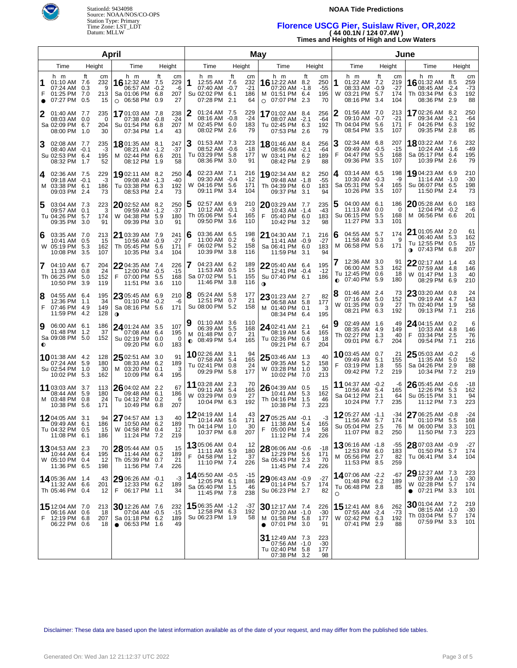

### **NOAA Tide Predictions**

# **Florence USCG Pier, Suislaw River, OR,2022 ( 44 00.1N / 124 07.4W )**

**Times and Heights of High and Low Waters**

| April  |                                                                           |                  |                             |                                                                               |                                 |                              |        | May                                                                       |             |                                 |             |                                                                      |                                 |                               |        | June                                                                  |                    |                                |                                                                                 |                                   |                                 |  |
|--------|---------------------------------------------------------------------------|------------------|-----------------------------|-------------------------------------------------------------------------------|---------------------------------|------------------------------|--------|---------------------------------------------------------------------------|-------------|---------------------------------|-------------|----------------------------------------------------------------------|---------------------------------|-------------------------------|--------|-----------------------------------------------------------------------|--------------------|--------------------------------|---------------------------------------------------------------------------------|-----------------------------------|---------------------------------|--|
|        | Time                                                                      | Height           |                             | Time                                                                          | Height                          |                              |        | Time                                                                      |             | Height                          |             | Time                                                                 |                                 | Height                        |        | Time                                                                  |                    | Height                         | Time                                                                            |                                   | Height                          |  |
| 1<br>F | h m<br>01:10 AM 7.6<br>07:24 AM<br>01:25 PM 7.0<br>07:27 PM               | ft<br>0.3<br>0.5 | сm<br>232<br>9<br>213<br>15 | h m<br>16 12:32 AM<br>06:57 AM<br>Sa 01:06 PM<br>06:58 PM<br>$\circ$          | ft<br>7.5<br>-0.2<br>6.8<br>0.9 | cm<br>229<br>-6<br>207<br>27 |        | h m<br>12:55 AM 7.6<br>07:40 AM -0.7<br>Su 02:02 PM 6.1<br>07:28 PM       | ft<br>2.1   | cm<br>232<br>$-21$<br>186<br>64 |             | h m<br>16 12:22 AM<br>07:20 AM<br>M 01:51 PM<br>$\circ$ 07:07 PM     | ft<br>8.2<br>-1.8<br>6.4<br>2.3 | cm<br>250<br>-55<br>195<br>70 | 1<br>W | h m<br>01:22 AM 7.2<br>08:33 AM -0.9<br>03:21 PM<br>08:16 PM          | Ħ<br>5.7<br>3.4    | cm<br>219<br>-27<br>174<br>104 | h m<br>1601:32 AM<br>08:45 AM<br>Th 03:34 PM<br>08:36 PM                        | ft<br>8.5<br>$-2.4$<br>6.3<br>2.9 | cm<br>259<br>$-73$<br>192<br>88 |  |
|        | 01:40 AM 7.7<br>08:03 AM 0.0<br>Sa 02:09 PM 6.7<br>08:00 PM 1.0           |                  | 235<br>0<br>204<br>30       | 1701:03 AM 7.8<br>07:38 AM -0.8<br>Su 01:54 PM<br>07:34 PM                    | 6.8<br>-1.4                     | 238<br>$-24$<br>207<br>43    | 2      | 01:24 AM 7.5<br>08:16 AM -0.8<br>M 02:45 PM 6.0<br>08:02 PM               | -2.6        | 229<br>$-24$<br>183<br>79       |             | <b>17</b> 01:02 AM<br>08:07 AM<br>Tu 02:45 PM<br>07:53 PM            | 8.4<br>$-2.1$<br>6.3<br>-2.6    | 256<br>-64<br>192<br>79       |        | 01:56 AM 7.0<br>09:10 AM -0.7<br>Th 04:04 PM<br>08:54 PM              | -5.6<br>3.5        | 213<br>-21<br>171<br>107       | <b>17</b> 02:26 AM<br>09:34 AM<br>F<br>04:26 PM<br>09:35 PM                     | 8.2<br>$-2.1$<br>6.3<br>2.8       | 250<br>-64<br>192<br>85         |  |
| 3      | 02:08 AM 7.7<br>08:40 AM -0.1<br>Su 02:53 PM 6.4<br>08:32 PM 1.7          |                  | 235<br>-3<br>195<br>52      | 18 01:35 AM 8.1<br>08:21 AM -1.2<br>M 02:44 PM 6.6<br>08:12 PM                | - 1.9                           | 247<br>$-37$<br>201<br>58    | 3      | 01:53 AM 7.3<br>08:52 AM -0.6<br>Tu 03:29 PM 5.8<br>08:36 PM              | 3.0         | 223<br>$-18$<br>177<br>91       |             | 18 01:46 AM<br>08:56 AM<br>W 03:41 PM<br>08:42 PM                    | 8.4<br>$-2.1$<br>6.2<br>2.9     | 256<br>-64<br>189<br>88       | З<br>F | 02:34 AM 6.8<br>09:49 AM -0.5<br>04:47 PM<br>09:36 PM                 | -5.5<br>3.5        | 207<br>-15<br>168<br>107       | 18803:22 AM 7.6<br>10:24 AM -1.6<br>Sa 05:17 PM<br>10:39 PM                     | 6.4<br>2.6                        | 232<br>-49<br>195<br>79         |  |
| 4      | 02:36 AM 7.5<br>09:18 AM -0.1<br>M 03:38 PM 6.1<br>09:03 PM 2.4           |                  | 229<br>-3<br>186<br>73      | <b>19</b> 02:11 AM 8.2<br>09:08 AM -1.3<br>Tu 03:38 PM 6.3<br>08:53 PM 2.4    |                                 | 250<br>$-40$<br>192<br>73    |        | 4 02:23 AM 7.1<br>09:30 AM -0.4<br>W 04:16 PM 5.6<br>09:11 PM             | -3.4        | 216<br>$-12$<br>171<br>104      |             | 1902:34 AM<br>09:48 AM<br>Th 04:39 PM<br>09:37 PM                    | 8.2<br>$-1.8$<br>6.0<br>3.1     | 250<br>$-55$<br>183<br>94     | 4      | 03:14 AM 6.5<br>$10:30$ AM $-0.3$<br>Sa 05:31 PM<br>10:26 PM          | -5.4<br>3.5        | 198<br>-9<br>165<br>107        | 19 04:23 AM 6.9<br>11:14 AM<br>Su 06:07 PM<br>11:50 PM                          | $-1.0$<br>6.5<br>2.4              | 210<br>$-30$<br>198<br>73       |  |
| 5      | 03:04 AM 7.3<br>09:57 AM 0.1<br>Tu 04:26 PM 5.7<br>09:35 PM 3.0           |                  | 223<br>3<br>174<br>91       | $20$ 02:52 AM 8.2<br>09:59 AM -1.2<br>W 04:38 PM<br>09:39 PM 3.0              | 5.9                             | 250<br>$-37$<br>180<br>91    | 5      | 02:57 AM 6.9<br>$10:12$ AM $-0.1$<br>Th 05:06 PM 5.4<br>09:50 PM          | 3.6         | 210<br>-3<br>165<br>110         | F           | $20$ 03:29 AM<br>10:43 AM<br>05:40 PM<br>10:42 PM                    | -7.7<br>$-1.4$<br>6.0<br>3.2    | 235<br>-43<br>183<br>98       | 5      | 04:00 AM 6.1<br>11:13 AM<br>Su 06:15 PM<br>11:27 PM                   | 0.0<br>-5.5<br>3.3 | 186<br>0<br>168<br>101         | 2005:28 AM 6.0<br>12:04 PM<br>M 06:56 PM                                        | -0.2<br>6.6                       | 183<br>-6<br>201                |  |
| 6      | 03:35 AM 7.0<br>10:41 AM 0.5<br>W 05:19 PM<br>10:08 PM 3.5                | - 5.3            | 213<br>15<br>162<br>107     | 21 03:39 AM 7.9<br>10:56 AM -0.9<br>Th 05:45 PM<br>10:35 PM 3.4               | -5.6                            | 241<br>$-27$<br>171<br>104   | 6<br>F | 03:36 AM 6.5<br>11:00 AM 0.2<br>06:02 PM 5.2<br>10:39 PM                  | -3.8        | 198<br>6<br>158<br>116          |             | 21 04:30 AM<br>11:41 AM<br>Sa 06:41 PM<br>11:59 PM                   | -7.1<br>$-0.9$<br>6.0<br>3.1    | 216<br>$-27$<br>183<br>94     | 6      | 04:55 AM 5.7<br>11:58 AM<br>M 06:58 PM                                | 0.3<br>-5.6        | 174<br>9<br>171                | 21 01:05 AM<br>06:40 AM<br>Tu 12:55 PM<br>07:43 PM<br>$\bullet$                 | 2.0<br>5.3<br>0.5<br>6.8          | 61<br>162<br>15<br>207          |  |
| 7      | 04:10 AM 6.7<br>11:33 AM 0.8<br>Th 06:25 PM<br>10:50 PM 3.9               | - 5.0            | 204<br>24<br>152<br>119     | $22$ 04:35 AM 7.4<br>12:00 PM -0.5<br>F.<br>07:00 PM<br>11:51 PM 3.6          | 5.5                             | 226<br>$-15$<br>168<br>110   |        | 04:23 AM 6.2<br>11:53 AM<br>Sa 07:02 PM 5.1<br>11:46 PM                   | 0.5<br>-3.8 | 189<br>15<br>155<br>116         | $\mathbf 0$ | 2205:40 AM<br>12:41 PM<br>Su 07:40 PM                                | -6.4<br>$-0.4$<br>6.1           | 195<br>$-12$<br>186           |        | 12:36 AM 3.0<br>06:00 AM<br>Tu 12:45 PM 0.6<br>$\bullet$ 07:40 PM 5.9 | -5.3               | 91<br>162<br>18<br>180         | $2202:17$ AM<br>07:59 AM<br>W 01:47 PM<br>08:29 PM                              | 1.4<br>4.8<br>1.3<br>6.9          | 43<br>146<br>40<br>210          |  |
| 8<br>F | 04:55 AM 6.4<br>12:36 PM 1.1<br>07:46 PM<br>11:59 PM 4.2                  | -4.9             | 195<br>34<br>149<br>128     | $23$ 05:45 AM 6.9<br>01:10 PM -0.2<br>Sa 08:16 PM 5.6<br>$\mathbf 0$          |                                 | 210<br>-6<br>171             | 8      | 05:24 AM 5.8<br>12:51 PM 0.7<br>Su 08:00 PM 5.2                           |             | 177<br>21<br>158                |             | $23$ 01:23 AM 2.7<br>06:58 AM<br>M 01:40 PM<br>08:34 PM 6.4          | 5.8<br>0.1                      | 82<br>177<br>3<br>195         |        | 01:46 AM 2.4<br>07:16 AM 5.0<br>W 01:35 PM<br>08:21 PM 6.3            | 0.9                | 73<br>152<br>27<br>192         | 23 03:20 AM<br>09:19 AM<br>Th 02:40 PM<br>09:13 PM                              | 0.8<br>4.7<br>1.9<br>7.1          | 24<br>143<br>58<br>216          |  |
| 9      | 06:00 AM 6.1<br>01:48 PM<br>Sa 09:08 PM 5.0                               | $-1.2$           | 186<br>37<br>152            | 24 01:24 AM 3.5<br>07:08 AM<br>Su 02:19 PM 0.0<br>09:20 PM 6.0                | 6.4                             | 107<br>195<br>0<br>183       | 9      | 01:10 AM 3.6<br>06:39 AM 5.5<br>M 01:48 PM 0.7<br>$\bullet$ 08:49 PM 5.4  |             | 110<br>168<br>21<br>165         |             | 24 02:41 AM<br>08:19 AM<br>Tu 02:36 PM<br>09:21 PM 6.7               | 2.1<br>5.4<br>0.6               | 64<br>165<br>18<br>204        |        | 02:49 AM 1.6<br>08:35 AM 4.9<br>Th 02:27 PM 1.3<br>09:01 PM 6.7       |                    | 49<br>149<br>40<br>204         | 24 04:15 AM<br>10:33 AM<br>F<br>03:34 PM<br>09:54 PM                            | 0.2<br>4.8<br>2.5<br>7.1          | 6<br>146<br>76<br>216           |  |
|        | <b>10</b> 01:38 AM 4.2<br>07:24 AM 5.9<br>Su 02:54 PM 1.0<br>10:02 PM 5.3 |                  | 128<br>180<br>30<br>162     | $2502:51$ AM 3.0<br>08:33 AM<br>M 03:20 PM<br>10:09 PM 6.4                    | 6.2<br>0.1                      | 91<br>189<br>3<br>195        |        | 1002:26 AM 3.1<br>07:58 AM 5.4<br>Tu 02:41 PM 0.8<br>09:29 PM 5.8         |             | 94<br>165<br>24<br>177          |             | 25 03:46 AM<br>09:35 AM<br>W 03:28 PM<br>10:02 PM 7.0                | -1.3<br>5.2<br>1.0              | 40<br>158<br>30<br>213        | F      | 1003:45 AM 0.7<br>09:49 AM 5.1<br>03:19 PM<br>09:42 PM 7.2            | - 1.8              | 21<br>155<br>55<br>219         | $25$ 05:03 AM $-0.2$<br>11:35 AM<br>Sa 04:26 PM<br>10:34 PM                     | 5.0<br>2.9<br>7.2                 | -6<br>152<br>88<br>219          |  |
|        | 11 03:03 AM 3.7<br>08:44 AM<br>M 03:48 PM 0.8<br>10:38 PM 5.6             | -5.9             | 113<br>180<br>24<br>171     | $26$ 04:02 AM 2.2<br>09:48 AM 6.1<br>Tu 04:12 PM<br>10:49 PM 6.8              | 0.2                             | 67<br>186<br>6<br>207        |        | 11 03:28 AM 2.3<br>09:11 AM 5.4<br>W 03:29 PM 0.9<br>10:04 PM 6.3         |             | 70<br>165<br>27<br>192          |             | 26 04:39 AM<br>10:41 AM<br>Th 04:16 PM<br>10:38 PM 7.3               | 0.5<br>5.3<br>1.5               | 15<br>162<br>46<br>223        |        | 11 04:37 AM -0.2<br>10:56 AM 5.4<br>Sa 04:12 PM<br>10:24 PM 7.7       | 2.1                | -6<br>165<br>64<br>235         | $2605:45$ AM $-0.6$<br>12:26 PM<br>Su 05:15 PM<br>11:12 PM                      | 5.3<br>3.1<br>-7.3                | $-18$<br>162<br>94<br>223       |  |
|        | 12 04:05 AM 3.1<br>09:49 AM<br>Tu 04:32 PM 0.5<br>11:08 PM 6.1            | 6.1              | 94<br>186<br>15<br>186      | 27 04:57 AM 1.3<br>10:50 AM 6.2<br>W 04:58 PM 0.4<br>11:24 PM 7.2             |                                 | 40<br>189<br>- 12<br>219     |        | <b>12</b> 04:19 AM 1.4<br>10:14 AM 5.6<br>Th 04:14 PM 1.0<br>10:37 PM 6.8 |             | 43<br>171<br>30<br>207          | F           | 27 05:25 AM -0.1<br>11:38 AM<br>05:00 PM 1.9<br>11:12 PM 7.4         | -5.4                            | -3<br>165<br>58<br>226        |        | 1205:27 AM -1.1<br>11:56 AM 5.7<br>Su 05:04 PM 2.5<br>11:07 PM 8.2    |                    | -34<br>174<br>76<br>250        | $2706:25$ AM $-0.8$<br>01:10 PM<br>M 06:00 PM 3.3<br>11:50 PM 7.3               | 5.5                               | $-24$<br>168<br>101<br>223      |  |
|        | 1304:53 AM 2.3<br>10:44 AM 6.4<br>W 05:10 PM 0.4<br>11:36 PM 6.5          |                  | 70<br>195<br>12<br>198      | 28 05:44 AM 0.5<br>11:44 AM 6.2<br>Th 05:39 PM 0.7<br>11:56 PM 7.4            |                                 | 15<br>189<br>21<br>226       | F      | 1305:06 AM 0.4<br>11:11 AM 5.9<br>04:58 PM 1.2<br>11:10 PM 7.4            |             | 12<br>180<br>37<br>226          |             | 28 06:06 AM -0.6<br>12:29 PM<br>Sa 05:43 PM 2.3<br>11:45 PM 7.4      | 5.6                             | $-18$<br>171<br>-70<br>226    |        | 1306:16 AM -1.8<br>12:53 PM 6.0<br>M 05:56 PM 2.7<br>11:53 PM 8.5     |                    | -55<br>183<br>82<br>259        | $28$ 07:03 AM $\,$ -0.9 $\,$<br>01:50 PM 5.7<br>Tu 06:41 PM 3.4                 |                                   | $-27$<br>174<br>104             |  |
|        | 14 05:36 AM 1.4<br>11:32 AM 6.6<br>Th 05:46 PM 0.4                        |                  | 43<br>201<br>12             | 29 06:26 AM -0.1<br>12:33 PM 6.2<br>F 06:17 PM 1.1                            |                                 | -3<br>189<br>34              |        | 1405:50 AM -0.5<br>12:05 PM 6.1<br>Sa 05:40 PM 1.5<br>11:45 PM 7.8        |             | -15<br>186<br>46<br>238         |             | $29$ 06:43 AM $-0.9$<br>01:14 PM 5.7<br>Su 06:23 PM 2.7              |                                 | $-27$<br>174<br>82            | O      | 1407:06 AM -2.2<br>01:48 PM 6.2<br>Tu 06:48 PM 2.8                    |                    | -67<br>189<br>85               | 29 12:27 AM 7.3<br>07:39 AM -1.0<br>W 02:28 PM 5.7<br>07:21 PM 3.3<br>$\bullet$ |                                   | 223<br>$-30$<br>174<br>101      |  |
| F      | 15 12:04 AM 7.0<br>06:16 AM 0.6<br>12:19 PM 6.8<br>06:22 PM 0.6           |                  | 213<br>18<br>207<br>18      | 30 12:26 AM 7.6<br>07:04 AM -0.5<br>Sa 01:18 PM 6.2<br>$\bullet$ 06:53 PM 1.6 |                                 | 232<br>$-15$<br>189<br>49    |        | $15^{06:35}$ AM $-1.2$<br>12:58 PM 6.3<br>Su 06:23 PM 1.9                 |             | -37<br>192<br>58                | $\bullet$   | $30$ 12:17 AM 7.4<br>07:20 AM -1.0<br>M 01:58 PM 5.8<br>07:01 PM 3.0 |                                 | 226<br>$-30$<br>177<br>91     |        | 15 12:41 AM 8.6<br>07:55 AM -2.4<br>W 02:42 PM 6.3<br>07:41 PM 2.9    |                    | 262<br>-73<br>192<br>88        | 3001:04 AM 7.2<br>08:15 AM -1.0<br>Th 03:04 PM 5.7<br>07:59 PM 3.3              |                                   | 219<br>-30<br>174<br>101        |  |
|        |                                                                           |                  |                             |                                                                               |                                 |                              |        |                                                                           |             |                                 |             | 31 12:49 AM 7.3<br>07:56 AM -1.0<br>Tu 02:40 PM 5.8<br>07:38 PM      | 3.2                             | 223<br>$-30$<br>177<br>98     |        |                                                                       |                    |                                |                                                                                 |                                   |                                 |  |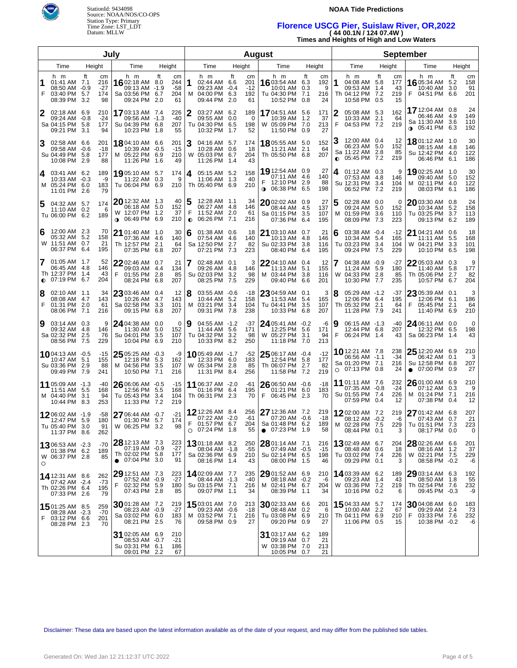

### **NOAA Tide Predictions**

# **Florence USCG Pier, Suislaw River, OR,2022 ( 44 00.1N / 124 07.4W )**

**Times and Heights of High and Low Waters**

| July   |                                                                      |        |                               |                                                                                   |            |                                 |                | <b>August</b>                                                              |            |                                 |                                                                 |                               |                         |                             |         |                                                                            | <b>September</b> |                              |           |                                                                     |                   |                         |  |
|--------|----------------------------------------------------------------------|--------|-------------------------------|-----------------------------------------------------------------------------------|------------|---------------------------------|----------------|----------------------------------------------------------------------------|------------|---------------------------------|-----------------------------------------------------------------|-------------------------------|-------------------------|-----------------------------|---------|----------------------------------------------------------------------------|------------------|------------------------------|-----------|---------------------------------------------------------------------|-------------------|-------------------------|--|
|        | Time                                                                 | Height |                               | Time                                                                              | Height     |                                 |                | Time                                                                       |            | Height                          | Time                                                            |                               |                         | Height                      |         | Time                                                                       | Height           |                              |           | Time                                                                |                   | Height                  |  |
| F      | h m<br>01:41 AM 7.1<br>08:50 AM -0.9<br>03:40 PM 5.7<br>08:39 PM 3.2 | ft     | cm<br>216<br>-27<br>174<br>98 | h m<br><b>16</b> 02:18 AM 8.0<br>09:13 AM -1.9<br>Sa 03:56 PM 6.7<br>09:24 PM 2.0 | ft         | cm<br>244<br>$-58$<br>204<br>61 | 1              | h m<br>02:44 AM 6.6<br>09:23 AM -0.4<br>M 04:00 PM 6.3<br>09:44 PM 2.0     | ft         | cm<br>201<br>$-12$<br>192<br>61 | h m<br>16 03:54 AM 6.3<br>Tu 04:30 PM                           | 10:01 AM<br>10:52 PM          | ft<br>0.3<br>7.1<br>0.8 | cm<br>192<br>9<br>216<br>24 | 1       | h m<br>04:08 AM 5.8<br>09:53 AM 1.4<br>Th 04:12 PM 7.2<br>10:58 PM 0.5     | ft               | cm<br>177<br>43<br>219<br>15 | F.        | h m<br>16 05:34 AM<br>10:40 AM 3.0<br>04:51 PM 6.6                  | ft<br>5.2         | cm<br>158<br>91<br>201  |  |
| 2      | 02:18 AM 6.9<br>09:24 AM -0.8<br>Sa 04:15 PM 5.8<br>09:21 PM 3.1     |        | 210<br>$-24$<br>177<br>94     | 1703:13 AM 7.4<br>09:56 AM -1.3<br>Su 04:39 PM 6.8<br>10:23 PM 1.8                |            | 226<br>-40<br>207<br>55         | 2              | 03:27 AM 6.2<br>09:55 AM 0.0<br>Tu 04:30 PM 6.5<br>10:32 PM 1.7            |            | 189<br>0<br>198<br>52           | <b>17</b> 04:51 AM<br>W 05:09 PM 7.0                            | 10:39 AM<br>11:50 PM 0.9      | 5.6<br>1.2              | 171<br>37<br>213<br>27      | 2<br>F  | 05:08 AM 5.3<br>10:33 AM 2.1<br>04:53 PM 7.2                               |                  | 162<br>64<br>219             |           | 17 12:04 AM 0.8<br>06:46 AM<br>Sa 11:30 AM 3.6<br>o} 05:41 PM       | 4.9<br>6.3        | 24<br>149<br>110<br>192 |  |
| 3      | 02:58 AM 6.6<br>09:58 AM -0.6<br>Su 04:49 PM 5.8<br>10:08 PM 2.9     |        | 201<br>-18<br>177<br>88       | 18804:10 AM 6.6<br>10:39 AM -0.5<br>M 05:22 PM 6.9<br>11:26 PM 1.6                |            | 201<br>$-15$<br>210<br>49       | 3              | 04:16 AM 5.7<br>10:28 AM 0.6<br>W 05:03 PM 6.7<br>11:26 PM 1.4             |            | 174<br>18<br>204<br>43          | 1805:55 AM<br>Th 05:50 PM 6.8                                   | 11:21 AM                      | 5.0<br>2.1              | 152<br>64<br>207            |         | 12:00 AM 0.4<br>06:23 AM 5.0<br>Sa 11:22 AM 2.8<br>$0$ 05:45 PM 7.2        |                  | -12<br>152<br>85<br>219      |           | 1801:12 AM 1.0<br>08:15 AM 4.8<br>Su 12:42 PM 4.0<br>06:46 PM 6.1   |                   | 30<br>146<br>122<br>186 |  |
| 4      | 03:41 AM 6.2<br>10:33 AM -0.3<br>M 05:24 PM 6.0<br>11:01 PM 2.6      |        | 189<br>-9<br>183<br>79        | 19 05:10 AM 5.7<br>11:22 AM 0.3<br>Tu 06:04 PM 6.9                                |            | 174<br>9<br>210                 | 4              | 05:15 AM 5.2<br>11:06 AM 1.3<br>Th 05:40 PM 6.9                            |            | 158<br>40<br>210                | 19 12:54 AM 0.9<br>12:10 PM 2.9<br><b>0</b> 06:38 PM            | 07:11 AM                      | 4.6<br>6.5              | 27<br>140<br>88<br>198      | 4       | 01:12 AM 0.3<br>07:53 AM 4.8<br>Su 12:31 PM 3.4<br>06:52 PM                | 7.2              | 9<br>146<br>104<br>219       |           | 19 02:25 AM 1.0<br>09:40 AM 5.0<br>M 02:11 PM 4.0<br>08:03 PM       | 6.1               | 30<br>152<br>122<br>186 |  |
| 5      | 04:32 AM 5.7<br>11:10 AM 0.2<br>Tu 06:00 PM 6.2                      |        | 174<br>6<br>189               | 20 12:32 AM 1.3<br>06:18 AM 5.0<br>W 12:07 PM 1.2<br><b>0</b> 06:49 PM 6.9        |            | 40<br>152<br>37<br>210          | F<br>$\bullet$ | 12:28 AM 1.1<br>06:27 AM 4.8<br>11:52 AM 2.0<br>06:26 PM                   | 7.1        | 34<br>146<br>61<br>216          | $20$ 02:02 AM 0.9<br>Sa 01:15 PM                                | 08:44 AM<br>07:36 PM          | 4.5<br>3.5<br>6.4       | 27<br>137<br>107<br>195     | 5<br>м  | 02:28 AM 0.0<br>09:24 AM 5.0<br>01:59 PM 3.6<br>08:09 PM 7.3               |                  | 0<br>152<br>110<br>223       |           | 20 03:30 AM 0.8<br>10:34 AM<br>Tu 03:25 PM<br>09:13 PM              | 5.2<br>3.7<br>6.2 | 24<br>158<br>113<br>189 |  |
| 6      | 12:00 AM 2.3<br>05:32 AM 5.2<br>W 11:51 AM 0.7<br>06:37 PM 6.4       |        | 70<br>158<br>21<br>195        | $21$ 01:40 AM $\,$ 1.0 $\,$<br>07:36 AM 4.6<br>Th 12:57 PM 2.1<br>07:35 PM 6.8    |            | 30<br>140<br>64<br>207          | 6              | 01:38 AM 0.6<br>07:54 AM 4.6<br>Sa 12:50 PM 2.7<br>07:21 PM                | 7.3        | 18<br>140<br>82<br>223          | 21 03:10 AM 0.7<br>Su 02:33 PM                                  | 10:13 AM<br>08:40 PM          | 4.8<br>3.8<br>6.4       | 21<br>146<br>116<br>195     | 6       | 03:38 AM -0.4<br>10:34 AM 5.4<br>Tu 03:23 PM 3.4<br>09:24 PM               | 7.5              | $-12$<br>165<br>104<br>229   |           | 21 04:21 AM 0.6<br>11:11 AM<br>W 04:21 PM<br>10:10 PM               | 5.5<br>3.3<br>6.5 | 18<br>168<br>101<br>198 |  |
| 7      | 01:05 AM 1.7<br>06:45 AM 4.8<br>Th 12:37 PM 1.4<br>$Q$ 07:19 PM 6.7  |        | 52<br>146<br>43<br>204        | 22 02:46 AM 0.7<br>09:03 AM 4.4<br>F<br>01:55 PM 2.8<br>08:24 PM                  | 6.8        | 21<br>134<br>85<br>207          | 7              | 02:48 AM 0.1<br>09:26 AM 4.8<br>Su 02:03 PM<br>08:25 PM                    | 3.2<br>7.5 | 3<br>146<br>98<br>229           | 2204:10 AM 0.4<br>M 03:44 PM<br>09:40 PM                        | 11:13 AM                      | 5.1<br>3.8<br>6.6       | 12<br>155<br>116<br>201     |         | 04:38 AM -0.9<br>11:24 AM 5.9<br>W 04:33 PM 2.8<br>10:30 PM 7.7            |                  | -27<br>180<br>85<br>235      |           | 22 05:03 AM 0.3<br>11:40 AM<br>Th 05:06 PM 2.7<br>10:57 PM          | 5.8<br>6.7        | 9<br>177<br>82<br>204   |  |
| 8<br>F | 02:10 AM 1.1<br>08:08 AM 4.7<br>01:31 PM 2.0<br>08:06 PM 7.1         |        | 34<br>143<br>61<br>216        | $23$ 03:46 AM 0.4<br>10:26 AM 4.7<br>Sa 02:58 PM<br>09:15 PM                      | 3.3<br>6.8 | 12<br>143<br>101<br>207         | 8              | 03:55 AM -0.6<br>10:44 AM 5.2<br>M 03:21 PM<br>09:31 PM                    | 3.4<br>7.8 | $-18$<br>158<br>104<br>238      | 23 04:59 AM 0.1<br>Tu 04:41 PM                                  | 11:53 AM<br>10:33 PM          | 5.4<br>3.5<br>6.8       | 3<br>165<br>107<br>207      | 8       | 05:29 AM -1.2<br>12:06 PM 6.4<br>Th 05:32 PM 2.1<br>11:28 PM 7.9           |                  | -37<br>195<br>64<br>241      | F         | 23 05:39 AM 0.1<br>12:06 PM 6.1<br>05:45 PM<br>11:40 PM             | 2.1<br>6.9        | 3<br>186<br>64<br>210   |  |
| 9      | 03:14 AM 0.3<br>09:32 AM 4.8<br>Sa 02:32 PM 2.5<br>08:56 PM 7.5      |        | 9<br>146<br>76<br>229         | $24$ 04:38 AM 0.0<br>11:30 AM 5.0<br>Su 04:01 PM<br>10:04 PM                      | 3.5<br>6.9 | 0<br>152<br>107<br>210          | 9              | 04:55 AM -1.2<br>11:44 AM 5.6<br>Tu 04:32 PM 3.2<br>10:33 PM               | 8.2        | -37<br>171<br>98<br>250         | 24 05:41 AM -0.2<br>W 05:27 PM                                  | 12:25 PM<br>11:18 PM          | 5.6<br>3.1<br>7.0       | -6<br>171<br>94<br>213      | Ι9<br>F | 06:15 AM -1.3<br>12:44 PM 6.8<br>06:24 PM 1.4                              |                  | -40<br>207<br>43             |           | 24 06:11 AM 0.0<br>12:32 PM 6.5<br>Sa 06:23 PM                      | 1.4               | 0<br>198<br>43          |  |
|        | 1004:13 AM -0.5<br>10:47 AM 5.1<br>Su 03:36 PM 2.9<br>09:49 PM 7.9   |        | $-15$<br>155<br>88<br>241     | 25 05:25 AM -0.3<br>12:18 PM 5.3<br>M 04:56 PM 3.5<br>10:50 PM                    | 7.1        | -9<br>162<br>107<br>216         |                | 1005:49 AM -1.7<br>12:33 PM 6.0<br>W 05:34 PM 2.8<br>11:31 PM              | 8.4        | $-52$<br>183<br>85<br>256       | 25 06:17 AM -0.4<br>Th 06:07 PM 2.7                             | 12:54 PM 5.8<br>11:58 PM      | 7.2                     | $-12$<br>177<br>82<br>219   |         | 10 12:21 AM 7.8<br>06:56 AM -1.1<br>Sa 01:20 PM 7.1<br>$O$ 07:13 PM 0.8    |                  | 238<br>$-34$<br>216<br>24    | $\bullet$ | $2512:20$ AM 6.9<br>06:42 AM 0.1<br>Su 12:58 PM 6.8<br>07:00 PM 0.9 |                   | 210<br>3<br>207<br>27   |  |
|        | 11 05:09 AM -1.3<br>11:51 AM 5.5<br>M 04:40 PM 3.1<br>10:44 PM 8.3   |        | $-40$<br>168<br>94<br>253     | $26$ 06:06 AM $-0.5$<br>12:56 PM 5.5<br>Tu 05:43 PM 3.4<br>11:33 PM 7.2           |            | $-15$<br>168<br>104<br>219      |                | 11 06:37 AM -2.0<br>01:16 PM 6.4<br>Th 06:31 PM 2.3                        |            | -61<br>195<br>70                | 26 06:50 AM -0.6<br>06:45 PM<br>F                               | 01:21 PM 6.0                  | 2.3                     | $-18$<br>183<br>-70         |         | <b>11</b> 01:11 AM 7.6<br>07:35 AM -0.8<br>Su 01:55 PM 7.4<br>07:59 PM 0.4 |                  | 232<br>$-24$<br>226<br>12    |           | 26 01:00 AM 6.9<br>07:12 AM 0.3<br>M 01:24 PM 7.1<br>07:38 PM 0.4   |                   | 210<br>- 9<br>216<br>12 |  |
|        | 1206:02 AM -1.9<br>12:47 PM 5.9<br>Tu 05:40 PM 3.0<br>11:37 PM 8.6   |        | -58<br>180<br>91<br>262       | $2706:44AM -0.7$<br>01:30 PM 5.7<br>W 06:25 PM 3.2                                |            | $-21$<br>174<br>98              | F.             | 12 12:26 AM 8.4<br>07:22 AM -2.0<br>01:57 PM<br>$O$ 07:24 PM 1.8           | 6.7        | 256<br>-61<br>204<br>55         | $2712:36$ AM $7.2$<br>Sa 01:48 PM 6.2<br>$\bullet$ 07:23 PM 1.9 | 07:20 AM -0.6                 |                         | 219<br>-18<br>189<br>58     |         | 1202:00 AM 7.2<br>08:12 AM -0.2<br>M 02:28 PM 7.5<br>08:44 PM 0.1          |                  | 219<br>-6<br>229<br>3        |           | 27 01:42 AM 6.8<br>07:43 AM 0.7<br>Tu 01:51 PM 7.3<br>08:17 PM 0.0  |                   | 207<br>21<br>223<br>0   |  |
| O      | 1306:53 AM -2.3<br>01:38 PM 6.2<br>W 06:37 PM 2.8                    |        | -70<br>189<br>85              | 28 12:13 AM 7.3<br>07:19 AM -0.9<br>Th 02:02 PM 5.8<br>$\bullet$ 07:04 PM 3.0     |            | 223<br>-27<br>177<br>91         |                | <b>13</b> 01:18 AM 8.2<br>08:04 AM -1.8<br>Sa 02:36 PM 6.9<br>08:16 PM 1.4 |            | 250<br>$-55$<br>210<br>43       | $2801:14$ AM 7.1<br>Su 02:14 PM 6.5                             | 07:49 AM -0.5<br>08:00 PM 1.5 |                         | 216<br>-15<br>198<br>46     |         | <b>13</b> 02:49 AM 6.7<br>08:48 AM 0.6<br>Tu 03:02 PM 7.4<br>09:29 PM 0.1  |                  | 204<br>18<br>226<br>3        |           | 28 02:26 AM 6.6<br>08:16 AM 1.2<br>W 02:21 PM 7.5<br>08:58 PM -0.2  |                   | 201<br>37<br>229<br>-6  |  |
|        | 14 12:31 AM 8.6<br>07:42 AM -2.4<br>Th 02:26 PM 6.4<br>07:33 PM 2.6  |        | 262<br>$-73$<br>195<br>79     | 29 12:51 AM 7.3<br>07:52 AM -0.9<br>F 02:32 PM 5.9<br>07:43 PM 2.8                |            | 223<br>$-27$<br>180<br>85       |                | 1402:09 AM 7.7<br>08:44 AM -1.3<br>Su 03:15 PM 7.1<br>09:07 PM 1.1         |            | 235<br>$-40$<br>216<br>34       | 29 01:52 AM 6.9<br>M 02:41 PM 6.7                               | 08:18 AM -0.2<br>08:39 PM 1.1 |                         | 210<br>-6<br>204<br>34      |         | 1403:39 AM 6.2<br>09:23 AM 1.4<br>W 03:36 PM 7.2<br>10:16 PM 0.2           |                  | 189<br>43<br>219<br>6        |           | 29 03:14 AM 6.3<br>08:50 AM 1.8<br>Th 02:54 PM 7.6<br>09:45 PM -0.3 |                   | 192<br>55<br>232<br>-9  |  |
| F      | 1501:25 AM 8.5<br>08:28 AM -2.3<br>03:12 PM 6.6<br>08:28 PM 2.3      |        | 259<br>$-70$<br>201<br>70     | 3001:28 AM 7.2<br>08:23 AM -0.9<br>Sa 03:02 PM 6.0<br>08:21 PM 2.5                |            | 219<br>-27<br>183<br>76         |                | 15 03:01 AM 7.0<br>09:23 AM -0.6<br>M 03:52 PM 7.1<br>09:58 PM 0.9         |            | 213<br>-18<br>216<br>27         | $30$ 02:33 AM 6.6<br>Tu 03:08 PM 6.9                            | 08:48 AM 0.2<br>09:20 PM 0.9  |                         | 201<br>6<br>210<br>27       |         | <b>15</b> 04:33 AM 5.7<br>10:00 AM 2.2<br>Th 04:11 PM 6.9<br>11:06 PM 0.5  |                  | 174<br>67<br>210<br>15       | F         | 3004:08 AM 6.0<br>09:29 AM<br>03:33 PM 7.6<br>10:38 PM -0.2         | 2.4               | 183<br>73<br>232<br>-6  |  |
|        |                                                                      |        |                               | 31 02:05 AM 6.9<br>08:53 AM -0.7<br>Su 03:31 PM 6.1<br>09:01 PM 2.2               |            | 210<br>$-21$<br>186<br>67       |                |                                                                            |            |                                 | 31 03:17 AM 6.2<br>W 03:38 PM 7.0                               | 09:19 AM<br>10:05 PM 0.7      | 0.7                     | 189<br>21<br>213<br>21      |         |                                                                            |                  |                              |           |                                                                     |                   |                         |  |